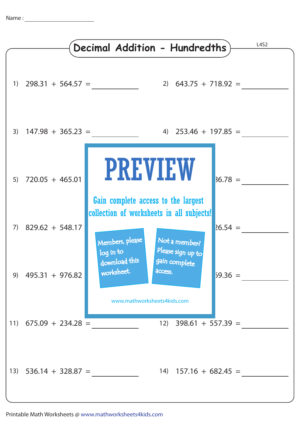